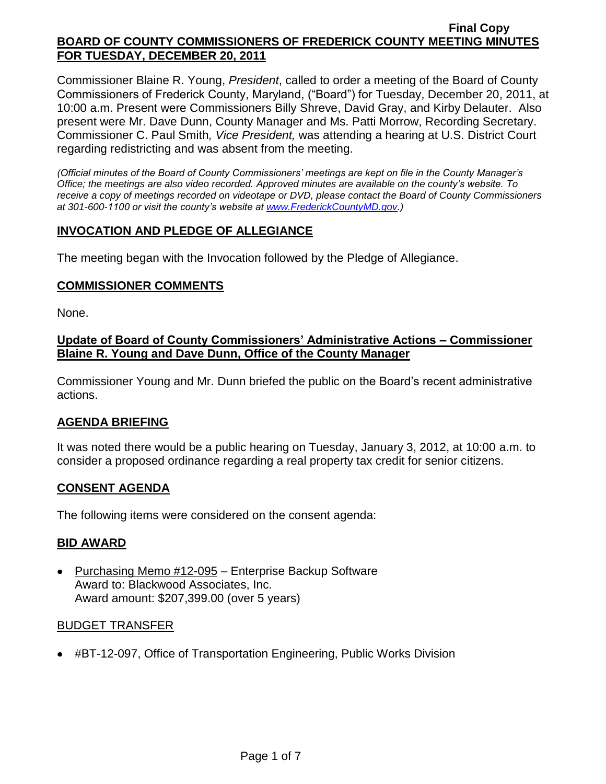Commissioner Blaine R. Young, *President*, called to order a meeting of the Board of County Commissioners of Frederick County, Maryland, ("Board") for Tuesday, December 20, 2011, at 10:00 a.m. Present were Commissioners Billy Shreve, David Gray, and Kirby Delauter. Also present were Mr. Dave Dunn, County Manager and Ms. Patti Morrow, Recording Secretary. Commissioner C. Paul Smith*, Vice President,* was attending a hearing at U.S. District Court regarding redistricting and was absent from the meeting.

*(Official minutes of the Board of County Commissioners' meetings are kept on file in the County Manager's Office; the meetings are also video recorded. Approved minutes are available on the county's website. To receive a copy of meetings recorded on videotape or DVD, please contact the Board of County Commissioners at 301-600-1100 or visit the county's website at [www.FrederickCountyMD.gov.](http://www.frederickcountymd.gov/))*

# **INVOCATION AND PLEDGE OF ALLEGIANCE**

The meeting began with the Invocation followed by the Pledge of Allegiance.

# **COMMISSIONER COMMENTS**

None.

# **Update of Board of County Commissioners' Administrative Actions – Commissioner Blaine R. Young and Dave Dunn, Office of the County Manager**

Commissioner Young and Mr. Dunn briefed the public on the Board's recent administrative actions.

# **AGENDA BRIEFING**

It was noted there would be a public hearing on Tuesday, January 3, 2012, at 10:00 a.m. to consider a proposed ordinance regarding a real property tax credit for senior citizens.

# **CONSENT AGENDA**

The following items were considered on the consent agenda:

# **BID AWARD**

• Purchasing Memo #12-095 – Enterprise Backup Software Award to: Blackwood Associates, Inc. Award amount: \$207,399.00 (over 5 years)

# BUDGET TRANSFER

#BT-12-097, Office of Transportation Engineering, Public Works Division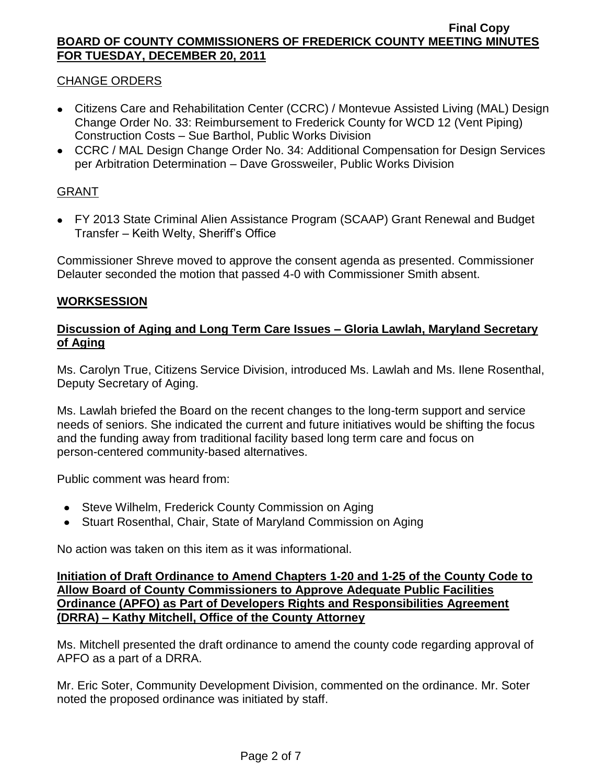# CHANGE ORDERS

- Citizens Care and Rehabilitation Center (CCRC) / Montevue Assisted Living (MAL) Design Change Order No. 33: Reimbursement to Frederick County for WCD 12 (Vent Piping) Construction Costs – Sue Barthol, Public Works Division
- CCRC / MAL Design Change Order No. 34: Additional Compensation for Design Services per Arbitration Determination – Dave Grossweiler, Public Works Division

# GRANT

FY 2013 State Criminal Alien Assistance Program (SCAAP) Grant Renewal and Budget Transfer – Keith Welty, Sheriff's Office

Commissioner Shreve moved to approve the consent agenda as presented. Commissioner Delauter seconded the motion that passed 4-0 with Commissioner Smith absent.

# **WORKSESSION**

# **Discussion of Aging and Long Term Care Issues – Gloria Lawlah, Maryland Secretary of Aging**

Ms. Carolyn True, Citizens Service Division, introduced Ms. Lawlah and Ms. Ilene Rosenthal, Deputy Secretary of Aging.

Ms. Lawlah briefed the Board on the recent changes to the long-term support and service needs of seniors. She indicated the current and future initiatives would be shifting the focus and the funding away from traditional facility based long term care and focus on person-centered community-based alternatives.

Public comment was heard from:

- Steve Wilhelm, Frederick County Commission on Aging
- Stuart Rosenthal, Chair, State of Maryland Commission on Aging

No action was taken on this item as it was informational.

### **Initiation of Draft Ordinance to Amend Chapters 1-20 and 1-25 of the County Code to Allow Board of County Commissioners to Approve Adequate Public Facilities Ordinance (APFO) as Part of Developers Rights and Responsibilities Agreement (DRRA) – Kathy Mitchell, Office of the County Attorney**

Ms. Mitchell presented the draft ordinance to amend the county code regarding approval of APFO as a part of a DRRA.

Mr. Eric Soter, Community Development Division, commented on the ordinance. Mr. Soter noted the proposed ordinance was initiated by staff.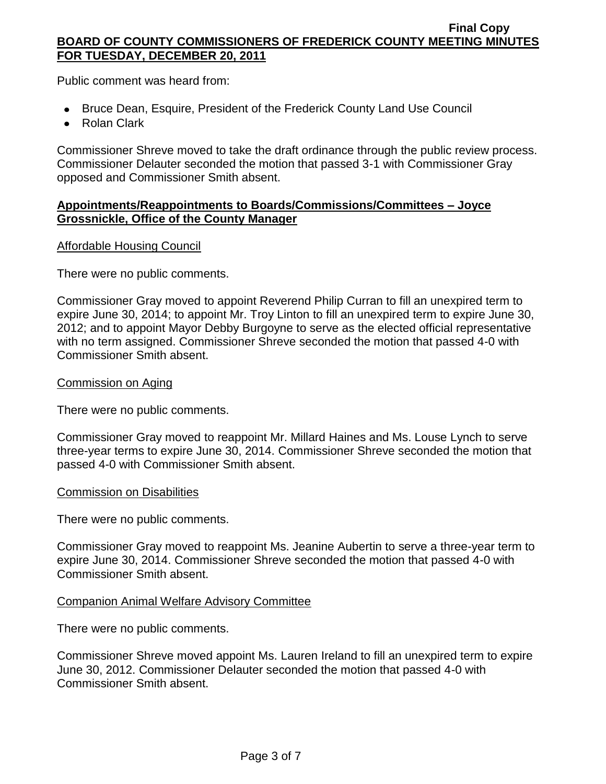Public comment was heard from:

- Bruce Dean, Esquire, President of the Frederick County Land Use Council
- Rolan Clark

Commissioner Shreve moved to take the draft ordinance through the public review process. Commissioner Delauter seconded the motion that passed 3-1 with Commissioner Gray opposed and Commissioner Smith absent.

# **Appointments/Reappointments to Boards/Commissions/Committees – Joyce Grossnickle, Office of the County Manager**

# Affordable Housing Council

There were no public comments.

Commissioner Gray moved to appoint Reverend Philip Curran to fill an unexpired term to expire June 30, 2014; to appoint Mr. Troy Linton to fill an unexpired term to expire June 30, 2012; and to appoint Mayor Debby Burgoyne to serve as the elected official representative with no term assigned. Commissioner Shreve seconded the motion that passed 4-0 with Commissioner Smith absent.

### Commission on Aging

There were no public comments.

Commissioner Gray moved to reappoint Mr. Millard Haines and Ms. Louse Lynch to serve three-year terms to expire June 30, 2014. Commissioner Shreve seconded the motion that passed 4-0 with Commissioner Smith absent.

#### Commission on Disabilities

There were no public comments.

Commissioner Gray moved to reappoint Ms. Jeanine Aubertin to serve a three-year term to expire June 30, 2014. Commissioner Shreve seconded the motion that passed 4-0 with Commissioner Smith absent.

# Companion Animal Welfare Advisory Committee

There were no public comments.

Commissioner Shreve moved appoint Ms. Lauren Ireland to fill an unexpired term to expire June 30, 2012. Commissioner Delauter seconded the motion that passed 4-0 with Commissioner Smith absent.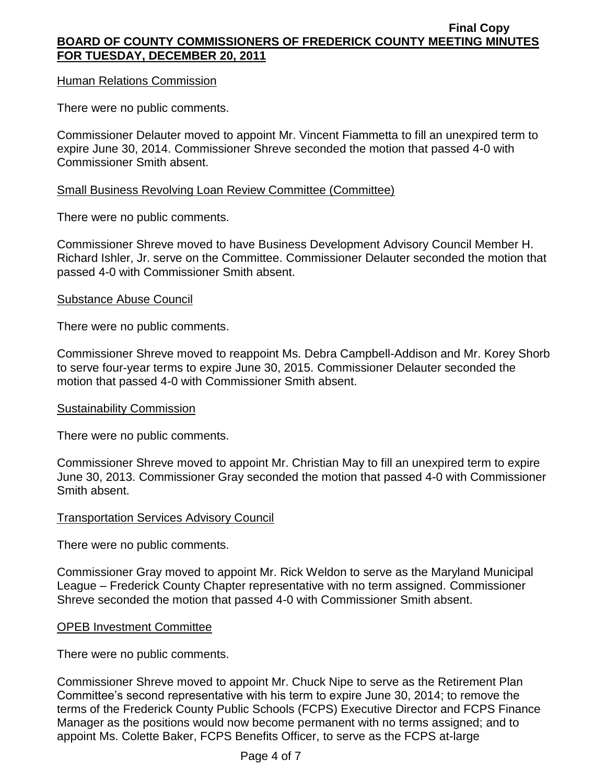### Human Relations Commission

There were no public comments.

Commissioner Delauter moved to appoint Mr. Vincent Fiammetta to fill an unexpired term to expire June 30, 2014. Commissioner Shreve seconded the motion that passed 4-0 with Commissioner Smith absent.

### Small Business Revolving Loan Review Committee (Committee)

There were no public comments.

Commissioner Shreve moved to have Business Development Advisory Council Member H. Richard Ishler, Jr. serve on the Committee. Commissioner Delauter seconded the motion that passed 4-0 with Commissioner Smith absent.

#### Substance Abuse Council

There were no public comments.

Commissioner Shreve moved to reappoint Ms. Debra Campbell-Addison and Mr. Korey Shorb to serve four-year terms to expire June 30, 2015. Commissioner Delauter seconded the motion that passed 4-0 with Commissioner Smith absent.

#### Sustainability Commission

There were no public comments.

Commissioner Shreve moved to appoint Mr. Christian May to fill an unexpired term to expire June 30, 2013. Commissioner Gray seconded the motion that passed 4-0 with Commissioner Smith absent.

#### Transportation Services Advisory Council

There were no public comments.

Commissioner Gray moved to appoint Mr. Rick Weldon to serve as the Maryland Municipal League – Frederick County Chapter representative with no term assigned. Commissioner Shreve seconded the motion that passed 4-0 with Commissioner Smith absent.

#### OPEB Investment Committee

There were no public comments.

Commissioner Shreve moved to appoint Mr. Chuck Nipe to serve as the Retirement Plan Committee's second representative with his term to expire June 30, 2014; to remove the terms of the Frederick County Public Schools (FCPS) Executive Director and FCPS Finance Manager as the positions would now become permanent with no terms assigned; and to appoint Ms. Colette Baker, FCPS Benefits Officer, to serve as the FCPS at-large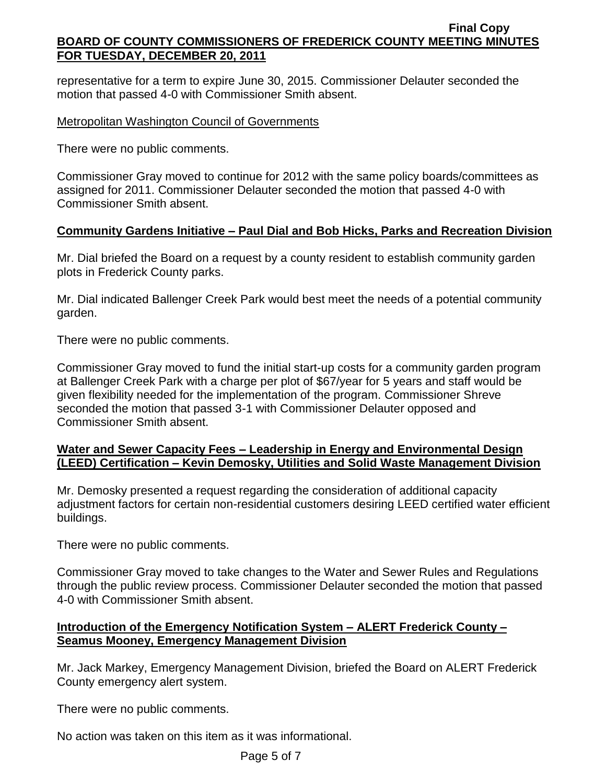representative for a term to expire June 30, 2015. Commissioner Delauter seconded the motion that passed 4-0 with Commissioner Smith absent.

# Metropolitan Washington Council of Governments

There were no public comments.

Commissioner Gray moved to continue for 2012 with the same policy boards/committees as assigned for 2011. Commissioner Delauter seconded the motion that passed 4-0 with Commissioner Smith absent.

# **Community Gardens Initiative – Paul Dial and Bob Hicks, Parks and Recreation Division**

Mr. Dial briefed the Board on a request by a county resident to establish community garden plots in Frederick County parks.

Mr. Dial indicated Ballenger Creek Park would best meet the needs of a potential community garden.

There were no public comments.

Commissioner Gray moved to fund the initial start-up costs for a community garden program at Ballenger Creek Park with a charge per plot of \$67/year for 5 years and staff would be given flexibility needed for the implementation of the program. Commissioner Shreve seconded the motion that passed 3-1 with Commissioner Delauter opposed and Commissioner Smith absent.

# **Water and Sewer Capacity Fees – Leadership in Energy and Environmental Design (LEED) Certification – Kevin Demosky, Utilities and Solid Waste Management Division**

Mr. Demosky presented a request regarding the consideration of additional capacity adjustment factors for certain non-residential customers desiring LEED certified water efficient buildings.

There were no public comments.

Commissioner Gray moved to take changes to the Water and Sewer Rules and Regulations through the public review process. Commissioner Delauter seconded the motion that passed 4-0 with Commissioner Smith absent.

# **Introduction of the Emergency Notification System – ALERT Frederick County – Seamus Mooney, Emergency Management Division**

Mr. Jack Markey, Emergency Management Division, briefed the Board on ALERT Frederick County emergency alert system.

There were no public comments.

No action was taken on this item as it was informational.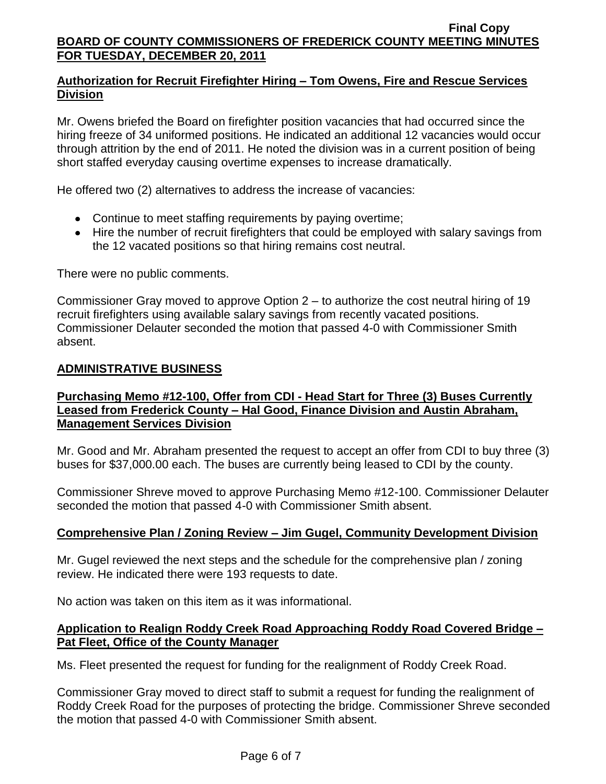# **Authorization for Recruit Firefighter Hiring – Tom Owens, Fire and Rescue Services Division**

Mr. Owens briefed the Board on firefighter position vacancies that had occurred since the hiring freeze of 34 uniformed positions. He indicated an additional 12 vacancies would occur through attrition by the end of 2011. He noted the division was in a current position of being short staffed everyday causing overtime expenses to increase dramatically.

He offered two (2) alternatives to address the increase of vacancies:

- Continue to meet staffing requirements by paying overtime;
- Hire the number of recruit firefighters that could be employed with salary savings from the 12 vacated positions so that hiring remains cost neutral.

There were no public comments.

Commissioner Gray moved to approve Option 2 – to authorize the cost neutral hiring of 19 recruit firefighters using available salary savings from recently vacated positions. Commissioner Delauter seconded the motion that passed 4-0 with Commissioner Smith absent.

# **ADMINISTRATIVE BUSINESS**

# **Purchasing Memo #12-100, Offer from CDI - Head Start for Three (3) Buses Currently Leased from Frederick County – Hal Good, Finance Division and Austin Abraham, Management Services Division**

Mr. Good and Mr. Abraham presented the request to accept an offer from CDI to buy three (3) buses for \$37,000.00 each. The buses are currently being leased to CDI by the county.

Commissioner Shreve moved to approve Purchasing Memo #12-100. Commissioner Delauter seconded the motion that passed 4-0 with Commissioner Smith absent.

# **Comprehensive Plan / Zoning Review – Jim Gugel, Community Development Division**

Mr. Gugel reviewed the next steps and the schedule for the comprehensive plan / zoning review. He indicated there were 193 requests to date.

No action was taken on this item as it was informational.

# **Application to Realign Roddy Creek Road Approaching Roddy Road Covered Bridge – Pat Fleet, Office of the County Manager**

Ms. Fleet presented the request for funding for the realignment of Roddy Creek Road.

Commissioner Gray moved to direct staff to submit a request for funding the realignment of Roddy Creek Road for the purposes of protecting the bridge. Commissioner Shreve seconded the motion that passed 4-0 with Commissioner Smith absent.